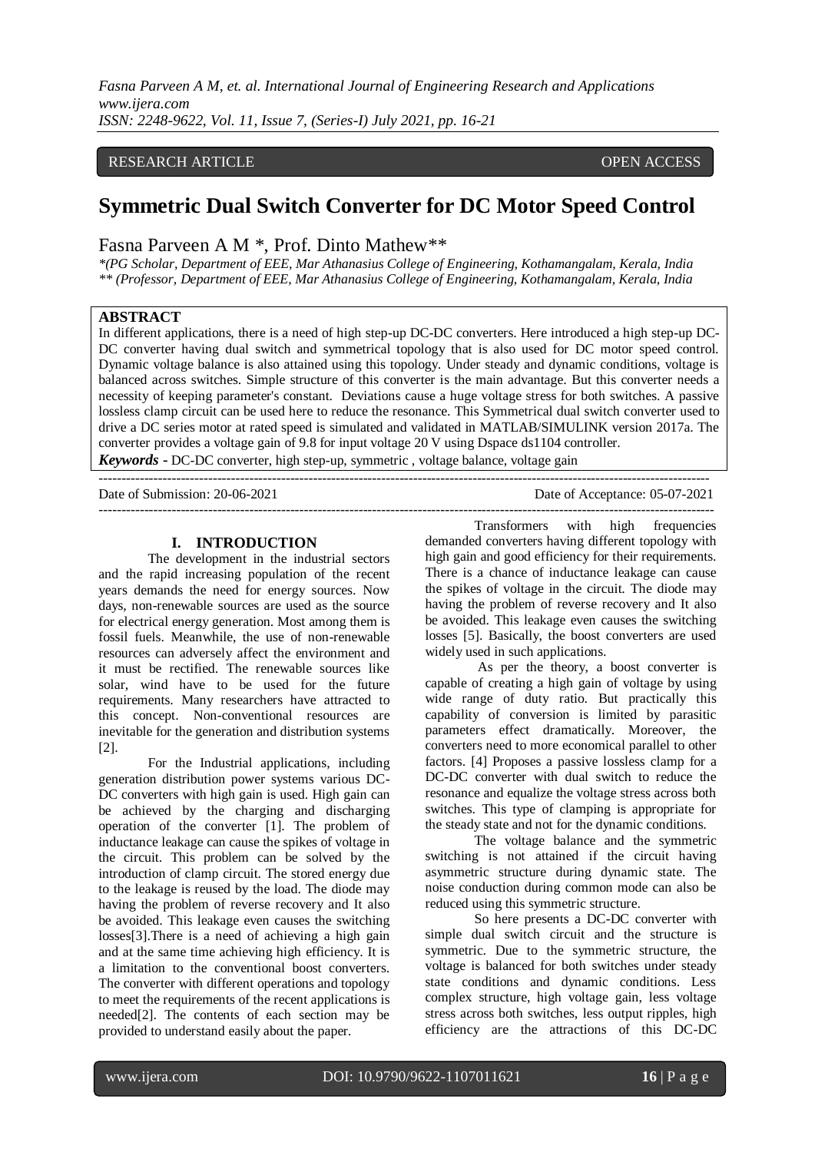## RESEARCH ARTICLE **CONSERVERS** OPEN ACCESS

# **Symmetric Dual Switch Converter for DC Motor Speed Control**

# Fasna Parveen A M \*, Prof. Dinto Mathew\*\*

*\*(PG Scholar, Department of EEE, Mar Athanasius College of Engineering, Kothamangalam, Kerala, India \*\* (Professor, Department of EEE, Mar Athanasius College of Engineering, Kothamangalam, Kerala, India*

# **ABSTRACT**

In different applications, there is a need of high step-up DC-DC converters. Here introduced a high step-up DC-DC converter having dual switch and symmetrical topology that is also used for DC motor speed control. Dynamic voltage balance is also attained using this topology. Under steady and dynamic conditions, voltage is balanced across switches. Simple structure of this converter is the main advantage. But this converter needs a necessity of keeping parameter's constant. Deviations cause a huge voltage stress for both switches. A passive lossless clamp circuit can be used here to reduce the resonance. This Symmetrical dual switch converter used to drive a DC series motor at rated speed is simulated and validated in MATLAB/SIMULINK version 2017a. The converter provides a voltage gain of 9.8 for input voltage 20 V using Dspace ds1104 controller. *Keywords* **-** DC-DC converter, high step-up, symmetric , voltage balance, voltage gain

--------------------------------------------------------------------------------------------------------------------------------------

Date of Submission: 20-06-2021 Date of Acceptance: 05-07-2021 ---------------------------------------------------------------------------------------------------------------------------------------

#### **I. INTRODUCTION**

The development in the industrial sectors and the rapid increasing population of the recent years demands the need for energy sources. Now days, non-renewable sources are used as the source for electrical energy generation. Most among them is fossil fuels. Meanwhile, the use of non-renewable resources can adversely affect the environment and it must be rectified. The renewable sources like solar, wind have to be used for the future requirements. Many researchers have attracted to this concept. Non-conventional resources are inevitable for the generation and distribution systems [2].

For the Industrial applications, including generation distribution power systems various DC-DC converters with high gain is used. High gain can be achieved by the charging and discharging operation of the converter [1]. The problem of inductance leakage can cause the spikes of voltage in the circuit. This problem can be solved by the introduction of clamp circuit. The stored energy due to the leakage is reused by the load. The diode may having the problem of reverse recovery and It also be avoided. This leakage even causes the switching losses[3].There is a need of achieving a high gain and at the same time achieving high efficiency. It is a limitation to the conventional boost converters. The converter with different operations and topology to meet the requirements of the recent applications is needed[2]. The contents of each section may be provided to understand easily about the paper.

Transformers with high frequencies demanded converters having different topology with high gain and good efficiency for their requirements. There is a chance of inductance leakage can cause the spikes of voltage in the circuit. The diode may having the problem of reverse recovery and It also be avoided. This leakage even causes the switching losses [5]. Basically, the boost converters are used widely used in such applications.

As per the theory, a boost converter is capable of creating a high gain of voltage by using wide range of duty ratio. But practically this capability of conversion is limited by parasitic parameters effect dramatically. Moreover, the converters need to more economical parallel to other factors. [4] Proposes a passive lossless clamp for a DC-DC converter with dual switch to reduce the resonance and equalize the voltage stress across both switches. This type of clamping is appropriate for the steady state and not for the dynamic conditions.

The voltage balance and the symmetric switching is not attained if the circuit having asymmetric structure during dynamic state. The noise conduction during common mode can also be reduced using this symmetric structure.

So here presents a DC-DC converter with simple dual switch circuit and the structure is symmetric. Due to the symmetric structure, the voltage is balanced for both switches under steady state conditions and dynamic conditions. Less complex structure, high voltage gain, less voltage stress across both switches, less output ripples, high efficiency are the attractions of this DC-DC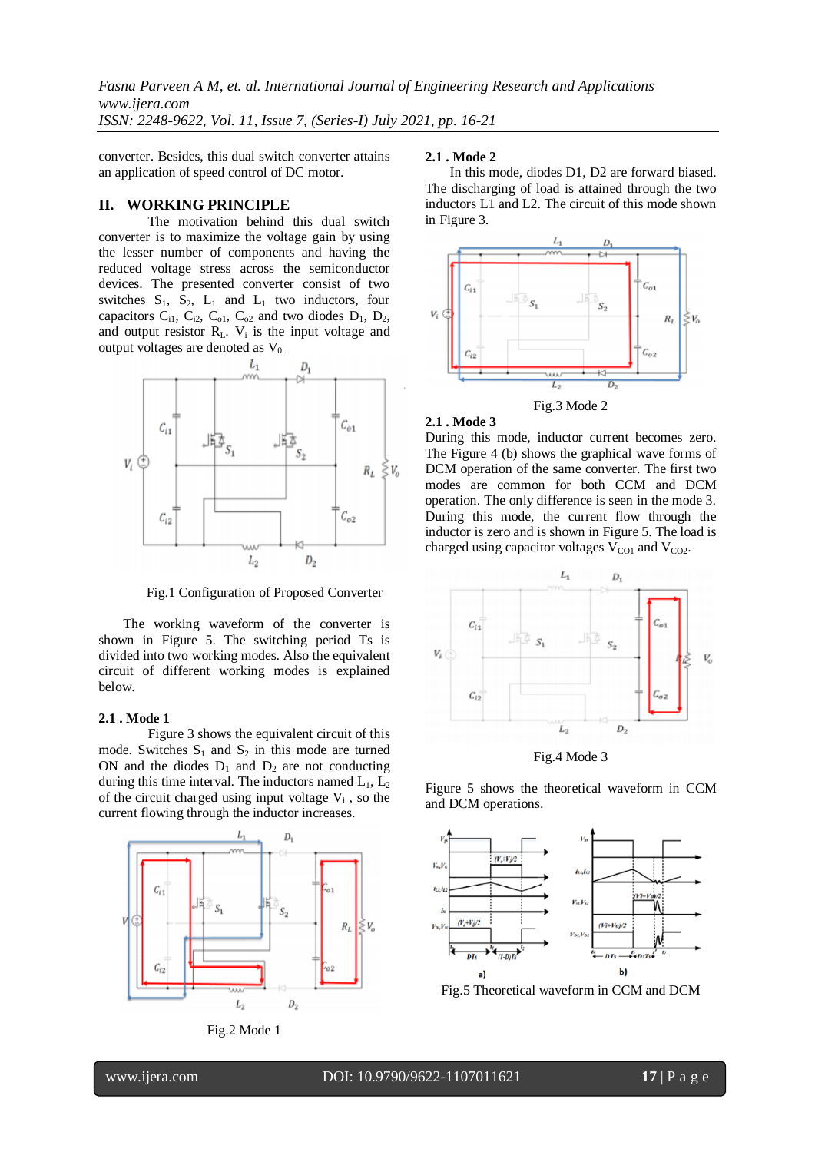converter. Besides, this dual switch converter attains an application of speed control of DC motor.

## **II. WORKING PRINCIPLE**

The motivation behind this dual switch converter is to maximize the voltage gain by using the lesser number of components and having the reduced voltage stress across the semiconductor devices. The presented converter consist of two switches  $S_1$ ,  $S_2$ ,  $L_1$  and  $L_1$  two inductors, four capacitors  $C_{i1}$ ,  $C_{i2}$ ,  $C_{o1}$ ,  $C_{o2}$  and two diodes  $D_1$ ,  $D_2$ , and output resistor  $R_L$ .  $V_i$  is the input voltage and output voltages are denoted as  $V_0$ .



Fig.1 Configuration of Proposed Converter

The working waveform of the converter is shown in Figure 5. The switching period Ts is divided into two working modes. Also the equivalent circuit of different working modes is explained below.

## **2.1 . Mode 1**

Figure 3 shows the equivalent circuit of this mode. Switches  $S_1$  and  $S_2$  in this mode are turned ON and the diodes  $D_1$  and  $D_2$  are not conducting during this time interval. The inductors named  $L_1$ ,  $L_2$ of the circuit charged using input voltage  $V_i$ , so the current flowing through the inductor increases.





#### **2.1 . Mode 2**

In this mode, diodes D1, D2 are forward biased. The discharging of load is attained through the two inductors L1 and L2. The circuit of this mode shown in Figure 3.



## **2.1 . Mode 3**

During this mode, inductor current becomes zero. The Figure 4 (b) shows the graphical wave forms of DCM operation of the same converter. The first two modes are common for both CCM and DCM operation. The only difference is seen in the mode 3. During this mode, the current flow through the inductor is zero and is shown in Figure 5. The load is charged using capacitor voltages  $V_{\text{CO1}}$  and  $V_{\text{CO2}}$ .



Fig.4 Mode 3

Figure 5 shows the theoretical waveform in CCM and DCM operations.



Fig.5 Theoretical waveform in CCM and DCM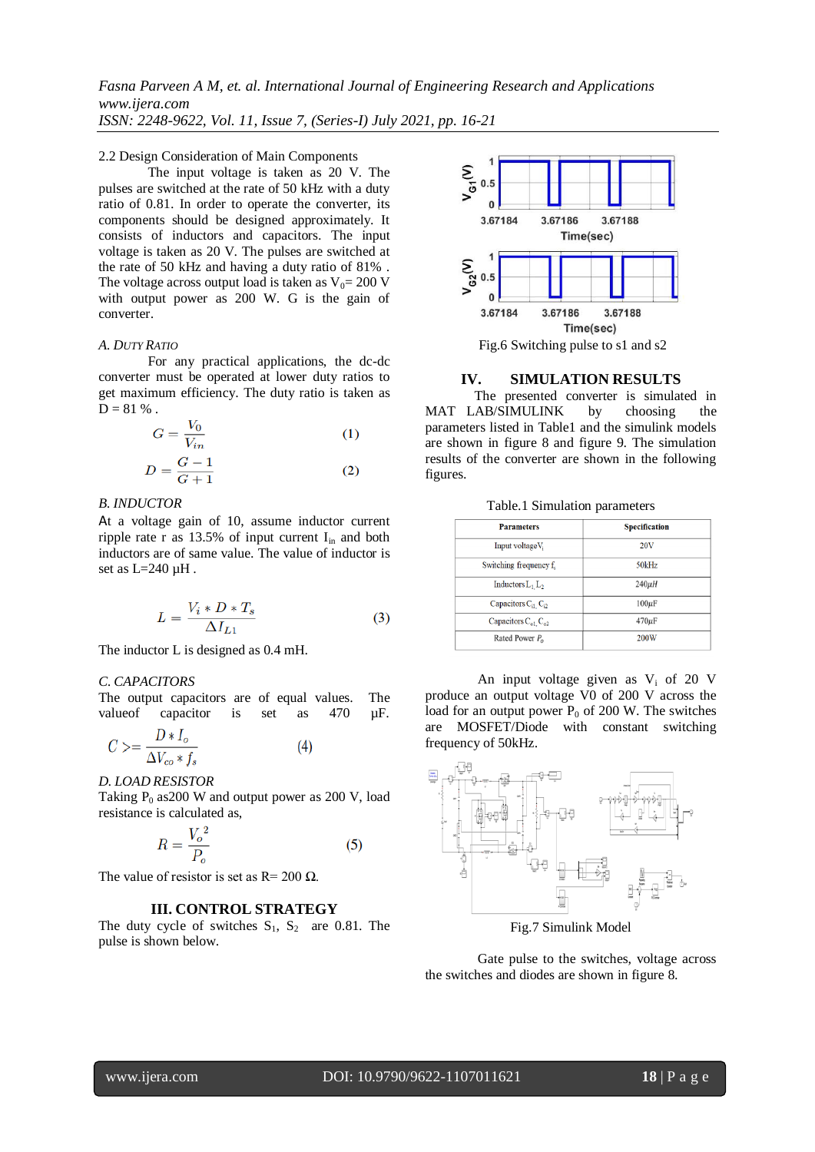## 2.2 Design Consideration of Main Components

The input voltage is taken as 20 V. The pulses are switched at the rate of 50 kHz with a duty ratio of 0.81. In order to operate the converter, its components should be designed approximately. It consists of inductors and capacitors. The input voltage is taken as 20 V. The pulses are switched at the rate of 50 kHz and having a duty ratio of 81% . The voltage across output load is taken as  $V_0$ = 200 V with output power as 200 W. G is the gain of converter.

#### *A. DUTY RATIO*

For any practical applications, the dc-dc converter must be operated at lower duty ratios to get maximum efficiency. The duty ratio is taken as  $D = 81 \%$ .

$$
G = \frac{V_0}{V_{in}}\tag{1}
$$

$$
D = \frac{G - 1}{G + 1} \tag{2}
$$

#### l *B. INDUCTOR*

At a voltage gain of 10, assume inductor current ripple rate r as  $13.5\%$  of input current  $I_{in}$  and both inductors are of same value. The value of inductor is set as L=240 µH .

$$
L = \frac{V_i * D * T_s}{\Delta I_{L1}}\tag{3}
$$

The inductor L is designed as 0.4 mH.

## *C. CAPACITORS*

The output capacitors are of equal values. The value of capacitor is set as 470  $\mu$ F.

$$
C \geq \frac{D * I_o}{\Delta V_{co} * f_s} \tag{4}
$$

*D. LOAD RESISTOR*

Taking  $P_0$  as 200 W and output power as 200 V, load resistance is calculated as,

$$
R = \frac{V_o^2}{P_o} \tag{5}
$$

The value of resistor is set as  $R = 200 \Omega$ .

# **III. CONTROL STRATEGY**

The duty cycle of switches  $S_1$ ,  $S_2$  are 0.81. The pulse is shown below.



#### **IV. SIMULATION RESULTS**

The presented converter is simulated in MAT LAB/SIMULINK by choosing the parameters listed in Table1 and the simulink models are shown in figure 8 and figure 9. The simulation results of the converter are shown in the following figures.

| <b>Parameters</b>                           | <b>Specification</b> |
|---------------------------------------------|----------------------|
| Input voltageV <sub>i</sub>                 | <b>20V</b>           |
| Switching frequency f.                      | 50kHz                |
| Inductors $L_1 L_2$                         | $240\mu H$           |
| Capacitors C <sub>il.</sub> C <sub>i2</sub> | $100\mu F$           |
| Capacitors $C_{01}$ $C_{02}$                | $470 \mu F$          |
| Rated Power $P_0$                           | 200W                 |

An input voltage given as  $V_i$  of 20 V produce an output voltage V0 of 200 V across the load for an output power  $P_0$  of 200 W. The switches are MOSFET/Diode with constant switching frequency of 50kHz.



Fig.7 Simulink Model

Gate pulse to the switches, voltage across the switches and diodes are shown in figure 8.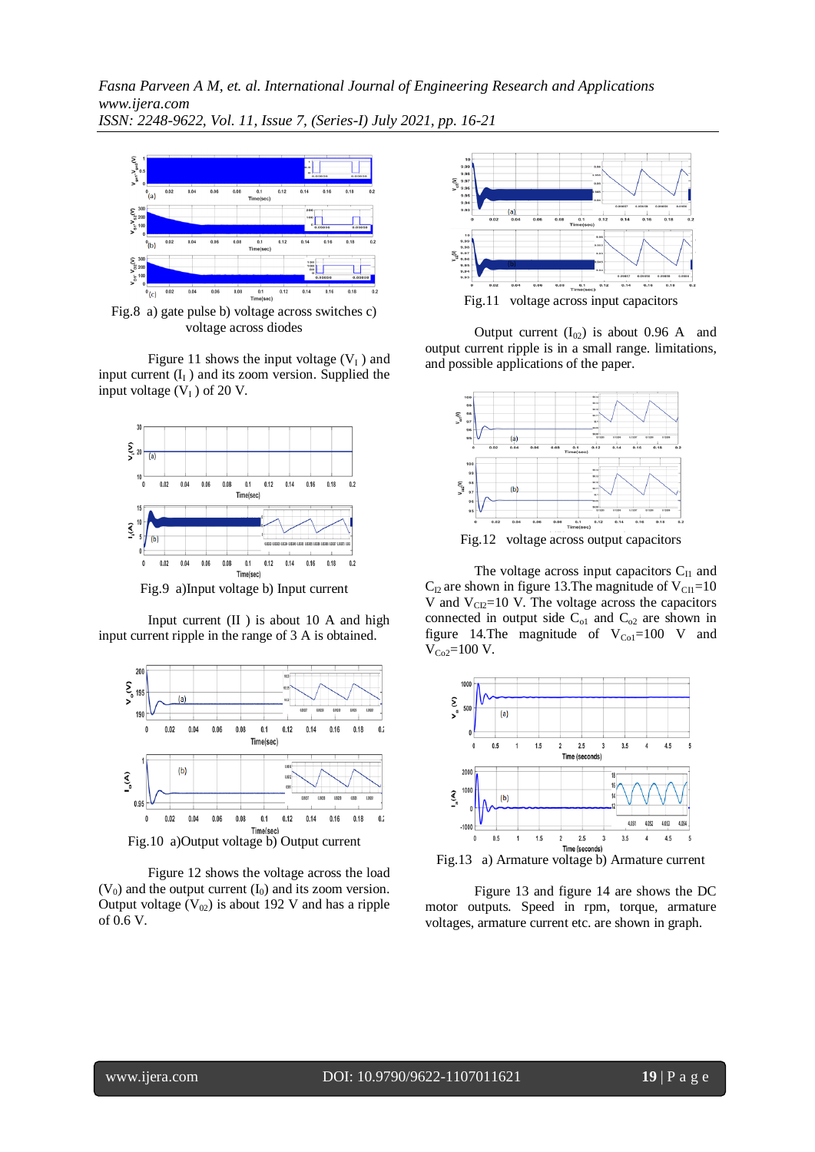

Fig.8 a) gate pulse b) voltage across switches c) voltage across diodes

Figure 11 shows the input voltage  $(V<sub>I</sub>)$  and input current  $(I<sub>I</sub>)$  and its zoom version. Supplied the input voltage  $(V<sub>I</sub>)$  of 20 V.



Fig.9 a)Input voltage b) Input current

Input current (II ) is about 10 A and high input current ripple in the range of 3 A is obtained.



Figure 12 shows the voltage across the load  $(V_0)$  and the output current  $(I_0)$  and its zoom version. Output voltage  $(V_{02})$  is about 192 V and has a ripple of 0.6 V.



Output current  $(I_{02})$  is about 0.96 A and output current ripple is in a small range. limitations, and possible applications of the paper.



The voltage across input capacitors  $C_{II}$  and  $C_{12}$  are shown in figure 13. The magnitude of  $V_{\text{CII}}$ =10 V and  $V_{\text{CD}}=10$  V. The voltage across the capacitors connected in output side  $C_{01}$  and  $C_{02}$  are shown in figure 14.The magnitude of  $V_{Co1}=100$  V and  $V_{Co2}$ =100 V.





Figure 13 and figure 14 are shows the DC motor outputs. Speed in rpm, torque, armature voltages, armature current etc. are shown in graph.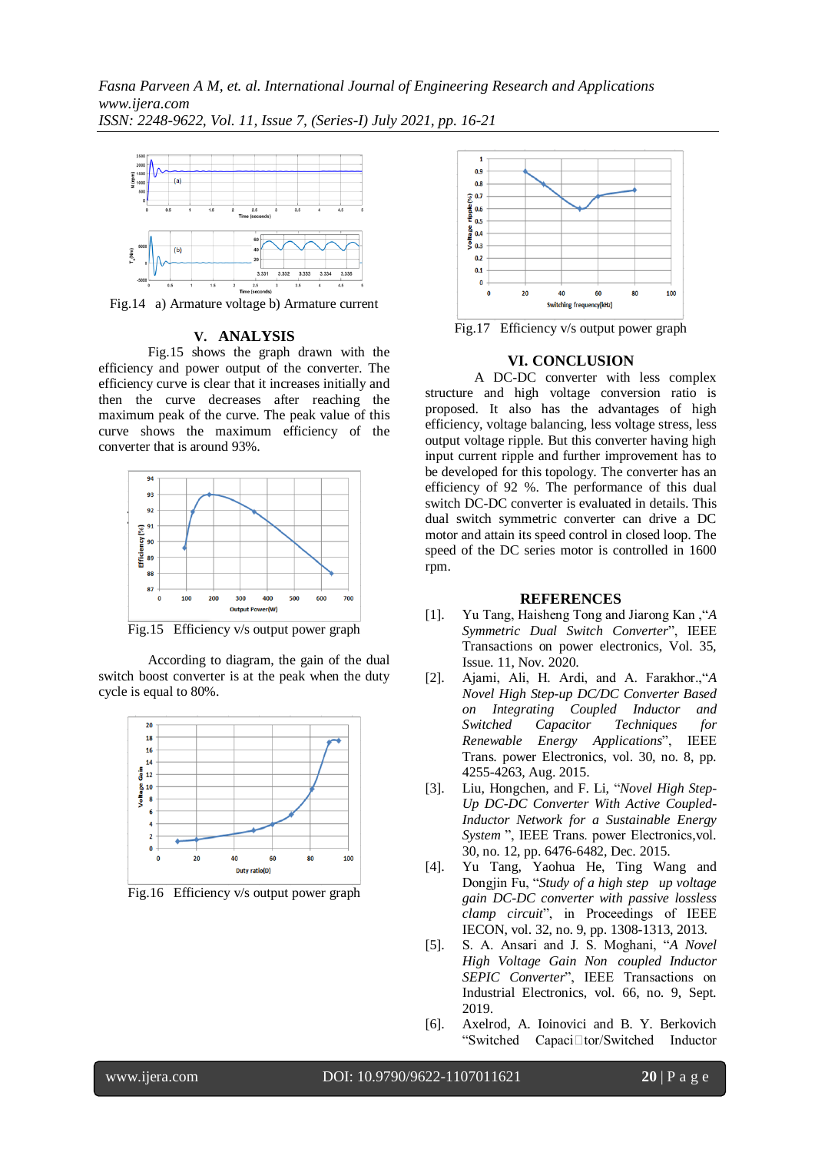

Fig.14 a) Armature voltage b) Armature current

## **V. ANALYSIS**

Fig.15 shows the graph drawn with the efficiency and power output of the converter. The efficiency curve is clear that it increases initially and then the curve decreases after reaching the maximum peak of the curve. The peak value of this curve shows the maximum efficiency of the converter that is around 93%.



Fig.15 Efficiency v/s output power graph

According to diagram, the gain of the dual switch boost converter is at the peak when the duty cycle is equal to 80%.



Fig.16 Efficiency v/s output power graph



Fig.17 Efficiency v/s output power graph

## **VI. CONCLUSION**

A DC-DC converter with less complex structure and high voltage conversion ratio is proposed. It also has the advantages of high efficiency, voltage balancing, less voltage stress, less output voltage ripple. But this converter having high input current ripple and further improvement has to be developed for this topology. The converter has an efficiency of 92 %. The performance of this dual switch DC-DC converter is evaluated in details. This dual switch symmetric converter can drive a DC motor and attain its speed control in closed loop. The speed of the DC series motor is controlled in 1600 rpm.

#### **REFERENCES**

- [1]. Yu Tang, Haisheng Tong and Jiarong Kan ,"*A Symmetric Dual Switch Converter*", IEEE Transactions on power electronics, Vol. 35, Issue. 11, Nov. 2020.
- [2]. Ajami, Ali, H. Ardi, and A. Farakhor.,"*A Novel High Step-up DC/DC Converter Based on Integrating Coupled Inductor and Switched Capacitor Techniques for Renewable Energy Applications*", IEEE Trans. power Electronics, vol. 30, no. 8, pp. 4255-4263, Aug. 2015.
- [3]. Liu, Hongchen, and F. Li, "*Novel High Step-Up DC-DC Converter With Active Coupled-Inductor Network for a Sustainable Energy System* ", IEEE Trans. power Electronics,vol. 30, no. 12, pp. 6476-6482, Dec. 2015.
- [4]. Yu Tang, Yaohua He, Ting Wang and Dongjin Fu, "*Study of a high step-up voltage gain DC-DC converter with passive lossless clamp circuit*", in Proceedings of IEEE IECON, vol. 32, no. 9, pp. 1308-1313, 2013.
- [5]. S. A. Ansari and J. S. Moghani, "*A Novel High Voltage Gain Non-coupled Inductor SEPIC Converter*", IEEE Transactions on Industrial Electronics, vol. 66, no. 9, Sept. 2019.
- [6]. Axelrod, A. Ioinovici and B. Y. Berkovich "Switched Capaci□tor/Switched Inductor

www.ijera.com DOI: 10.9790/9622-1107011621 **20** | P a g e